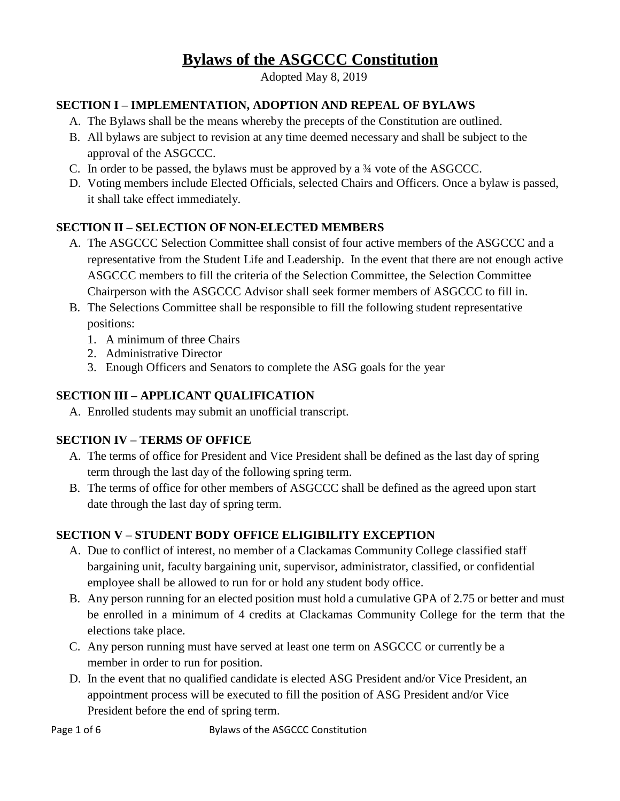# **Bylaws of the ASGCCC Constitution**

Adopted May 8, 2019

## **SECTION I – IMPLEMENTATION, ADOPTION AND REPEAL OF BYLAWS**

- A. The Bylaws shall be the means whereby the precepts of the Constitution are outlined.
- B. All bylaws are subject to revision at any time deemed necessary and shall be subject to the approval of the ASGCCC.
- C. In order to be passed, the bylaws must be approved by a ¾ vote of the ASGCCC.
- D. Voting members include Elected Officials, selected Chairs and Officers. Once a bylaw is passed, it shall take effect immediately.

## **SECTION II – SELECTION OF NON-ELECTED MEMBERS**

- A. The ASGCCC Selection Committee shall consist of four active members of the ASGCCC and a representative from the Student Life and Leadership. In the event that there are not enough active ASGCCC members to fill the criteria of the Selection Committee, the Selection Committee Chairperson with the ASGCCC Advisor shall seek former members of ASGCCC to fill in.
- B. The Selections Committee shall be responsible to fill the following student representative positions:
	- 1. A minimum of three Chairs
	- 2. Administrative Director
	- 3. Enough Officers and Senators to complete the ASG goals for the year

## **SECTION III – APPLICANT QUALIFICATION**

A. Enrolled students may submit an unofficial transcript.

## **SECTION IV – TERMS OF OFFICE**

- A. The terms of office for President and Vice President shall be defined as the last day of spring term through the last day of the following spring term.
- B. The terms of office for other members of ASGCCC shall be defined as the agreed upon start date through the last day of spring term.

# **SECTION V – STUDENT BODY OFFICE ELIGIBILITY EXCEPTION**

- A. Due to conflict of interest, no member of a Clackamas Community College classified staff bargaining unit, faculty bargaining unit, supervisor, administrator, classified, or confidential employee shall be allowed to run for or hold any student body office.
- B. Any person running for an elected position must hold a cumulative GPA of 2.75 or better and must be enrolled in a minimum of 4 credits at Clackamas Community College for the term that the elections take place.
- C. Any person running must have served at least one term on ASGCCC or currently be a member in order to run for position.
- D. In the event that no qualified candidate is elected ASG President and/or Vice President, an appointment process will be executed to fill the position of ASG President and/or Vice President before the end of spring term.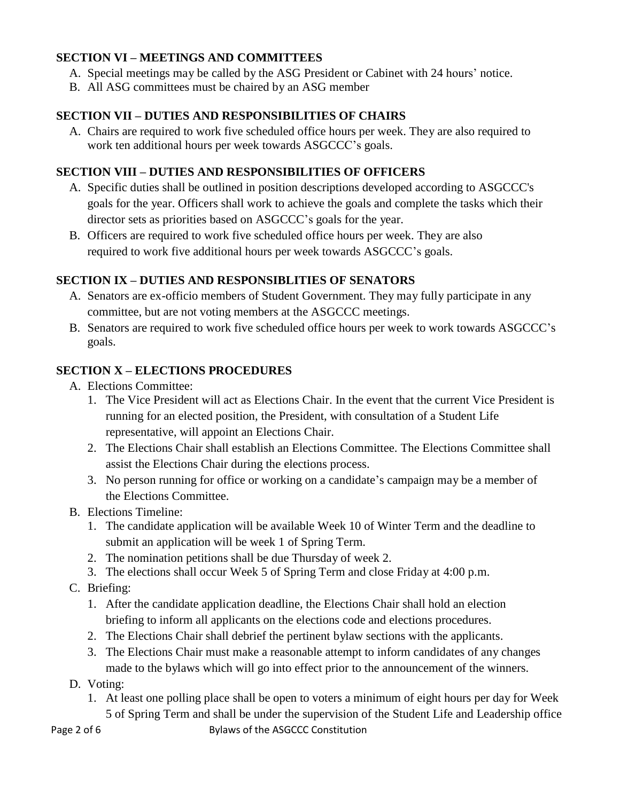#### **SECTION VI – MEETINGS AND COMMITTEES**

- A. Special meetings may be called by the ASG President or Cabinet with 24 hours' notice.
- B. All ASG committees must be chaired by an ASG member

## **SECTION VII – DUTIES AND RESPONSIBILITIES OF CHAIRS**

A. Chairs are required to work five scheduled office hours per week. They are also required to work ten additional hours per week towards ASGCCC's goals.

#### **SECTION VIII – DUTIES AND RESPONSIBILITIES OF OFFICERS**

- A. Specific duties shall be outlined in position descriptions developed according to ASGCCC's goals for the year. Officers shall work to achieve the goals and complete the tasks which their director sets as priorities based on ASGCCC's goals for the year.
- B. Officers are required to work five scheduled office hours per week. They are also required to work five additional hours per week towards ASGCCC's goals.

#### **SECTION IX – DUTIES AND RESPONSIBLITIES OF SENATORS**

- A. Senators are ex-officio members of Student Government. They may fully participate in any committee, but are not voting members at the ASGCCC meetings.
- B. Senators are required to work five scheduled office hours per week to work towards ASGCCC's goals.

#### **SECTION X – ELECTIONS PROCEDURES**

- A. Elections Committee:
	- 1. The Vice President will act as Elections Chair. In the event that the current Vice President is running for an elected position, the President, with consultation of a Student Life representative, will appoint an Elections Chair.
	- 2. The Elections Chair shall establish an Elections Committee. The Elections Committee shall assist the Elections Chair during the elections process.
	- 3. No person running for office or working on a candidate's campaign may be a member of the Elections Committee.
- B. Elections Timeline:
	- 1. The candidate application will be available Week 10 of Winter Term and the deadline to submit an application will be week 1 of Spring Term.
	- 2. The nomination petitions shall be due Thursday of week 2.
	- 3. The elections shall occur Week 5 of Spring Term and close Friday at 4:00 p.m.
- C. Briefing:
	- 1. After the candidate application deadline, the Elections Chair shall hold an election briefing to inform all applicants on the elections code and elections procedures.
	- 2. The Elections Chair shall debrief the pertinent bylaw sections with the applicants.
	- 3. The Elections Chair must make a reasonable attempt to inform candidates of any changes made to the bylaws which will go into effect prior to the announcement of the winners.
- D. Voting:
	- 1. At least one polling place shall be open to voters a minimum of eight hours per day for Week 5 of Spring Term and shall be under the supervision of the Student Life and Leadership office

Page 2 of 6 Bylaws of the ASGCCC Constitution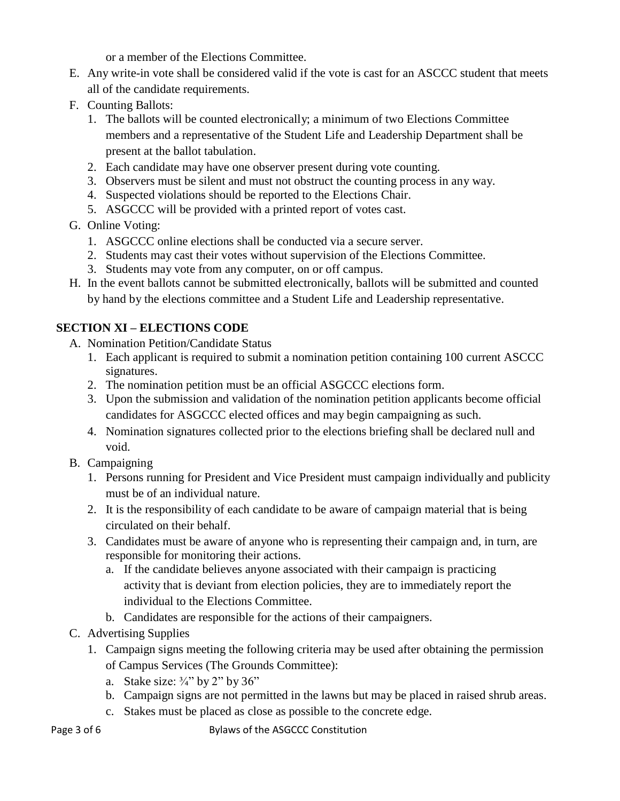or a member of the Elections Committee.

- E. Any write-in vote shall be considered valid if the vote is cast for an ASCCC student that meets all of the candidate requirements.
- F. Counting Ballots:
	- 1. The ballots will be counted electronically; a minimum of two Elections Committee members and a representative of the Student Life and Leadership Department shall be present at the ballot tabulation.
	- 2. Each candidate may have one observer present during vote counting.
	- 3. Observers must be silent and must not obstruct the counting process in any way.
	- 4. Suspected violations should be reported to the Elections Chair.
	- 5. ASGCCC will be provided with a printed report of votes cast.
- G. Online Voting:
	- 1. ASGCCC online elections shall be conducted via a secure server.
	- 2. Students may cast their votes without supervision of the Elections Committee.
	- 3. Students may vote from any computer, on or off campus.
- H. In the event ballots cannot be submitted electronically, ballots will be submitted and counted by hand by the elections committee and a Student Life and Leadership representative.

## **SECTION XI – ELECTIONS CODE**

- A. Nomination Petition/Candidate Status
	- 1. Each applicant is required to submit a nomination petition containing 100 current ASCCC signatures.
	- 2. The nomination petition must be an official ASGCCC elections form.
	- 3. Upon the submission and validation of the nomination petition applicants become official candidates for ASGCCC elected offices and may begin campaigning as such.
	- 4. Nomination signatures collected prior to the elections briefing shall be declared null and void.
- B. Campaigning
	- 1. Persons running for President and Vice President must campaign individually and publicity must be of an individual nature.
	- 2. It is the responsibility of each candidate to be aware of campaign material that is being circulated on their behalf.
	- 3. Candidates must be aware of anyone who is representing their campaign and, in turn, are responsible for monitoring their actions.
		- a. If the candidate believes anyone associated with their campaign is practicing activity that is deviant from election policies, they are to immediately report the individual to the Elections Committee.
		- b. Candidates are responsible for the actions of their campaigners.
- C. Advertising Supplies
	- 1. Campaign signs meeting the following criteria may be used after obtaining the permission of Campus Services (The Grounds Committee):
		- a. Stake size:  $\frac{3}{4}$ " by 2" by 36"
		- b. Campaign signs are not permitted in the lawns but may be placed in raised shrub areas.
		- c. Stakes must be placed as close as possible to the concrete edge.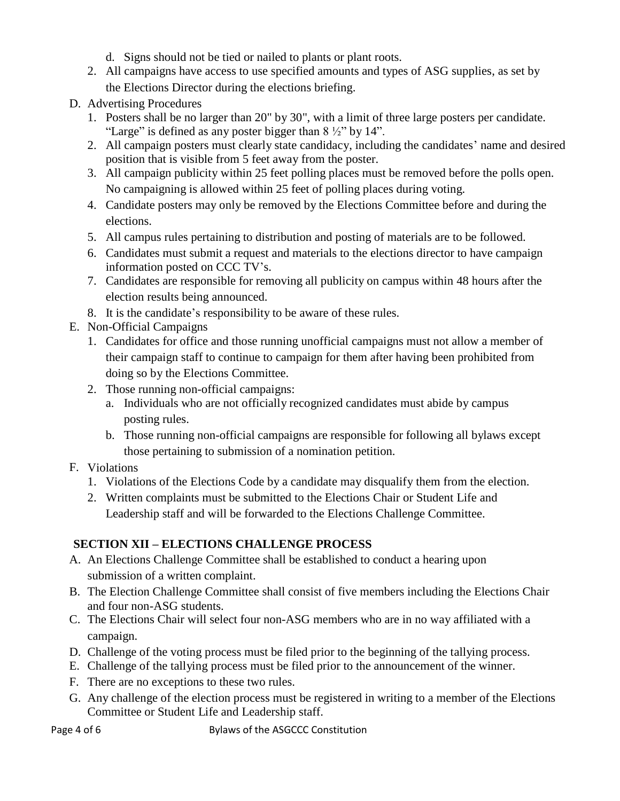- d. Signs should not be tied or nailed to plants or plant roots.
- 2. All campaigns have access to use specified amounts and types of ASG supplies, as set by the Elections Director during the elections briefing.
- D. Advertising Procedures
	- 1. Posters shall be no larger than 20" by 30", with a limit of three large posters per candidate. "Large" is defined as any poster bigger than  $8\frac{1}{2}$ " by 14".
	- 2. All campaign posters must clearly state candidacy, including the candidates' name and desired position that is visible from 5 feet away from the poster.
	- 3. All campaign publicity within 25 feet polling places must be removed before the polls open. No campaigning is allowed within 25 feet of polling places during voting.
	- 4. Candidate posters may only be removed by the Elections Committee before and during the elections.
	- 5. All campus rules pertaining to distribution and posting of materials are to be followed.
	- 6. Candidates must submit a request and materials to the elections director to have campaign information posted on CCC TV's.
	- 7. Candidates are responsible for removing all publicity on campus within 48 hours after the election results being announced.
	- 8. It is the candidate's responsibility to be aware of these rules.
- E. Non-Official Campaigns
	- 1. Candidates for office and those running unofficial campaigns must not allow a member of their campaign staff to continue to campaign for them after having been prohibited from doing so by the Elections Committee.
	- 2. Those running non-official campaigns:
		- a. Individuals who are not officially recognized candidates must abide by campus posting rules.
		- b. Those running non-official campaigns are responsible for following all bylaws except those pertaining to submission of a nomination petition.
- F. Violations
	- 1. Violations of the Elections Code by a candidate may disqualify them from the election.
	- 2. Written complaints must be submitted to the Elections Chair or Student Life and Leadership staff and will be forwarded to the Elections Challenge Committee.

# **SECTION XII – ELECTIONS CHALLENGE PROCESS**

- A. An Elections Challenge Committee shall be established to conduct a hearing upon submission of a written complaint.
- B. The Election Challenge Committee shall consist of five members including the Elections Chair and four non-ASG students.
- C. The Elections Chair will select four non-ASG members who are in no way affiliated with a campaign.
- D. Challenge of the voting process must be filed prior to the beginning of the tallying process.
- E. Challenge of the tallying process must be filed prior to the announcement of the winner.
- F. There are no exceptions to these two rules.
- G. Any challenge of the election process must be registered in writing to a member of the Elections Committee or Student Life and Leadership staff.

Page 4 of 6 Bylaws of the ASGCCC Constitution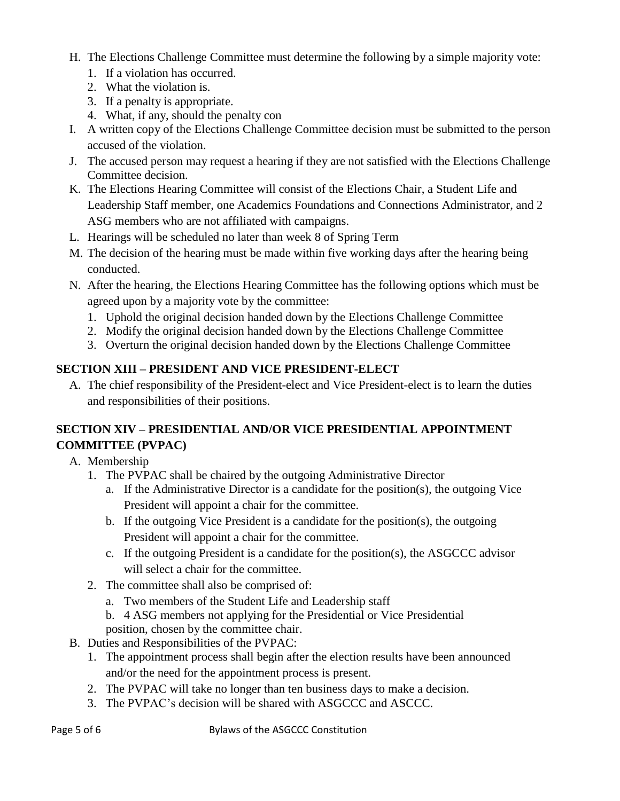- H. The Elections Challenge Committee must determine the following by a simple majority vote:
	- 1. If a violation has occurred.
	- 2. What the violation is.
	- 3. If a penalty is appropriate.
	- 4. What, if any, should the penalty con
- I. A written copy of the Elections Challenge Committee decision must be submitted to the person accused of the violation.
- J. The accused person may request a hearing if they are not satisfied with the Elections Challenge Committee decision.
- K. The Elections Hearing Committee will consist of the Elections Chair, a Student Life and Leadership Staff member, one Academics Foundations and Connections Administrator, and 2 ASG members who are not affiliated with campaigns.
- L. Hearings will be scheduled no later than week 8 of Spring Term
- M. The decision of the hearing must be made within five working days after the hearing being conducted.
- N. After the hearing, the Elections Hearing Committee has the following options which must be agreed upon by a majority vote by the committee:
	- 1. Uphold the original decision handed down by the Elections Challenge Committee
	- 2. Modify the original decision handed down by the Elections Challenge Committee
	- 3. Overturn the original decision handed down by the Elections Challenge Committee

# **SECTION XIII – PRESIDENT AND VICE PRESIDENT-ELECT**

A. The chief responsibility of the President-elect and Vice President-elect is to learn the duties and responsibilities of their positions.

# **SECTION XIV – PRESIDENTIAL AND/OR VICE PRESIDENTIAL APPOINTMENT COMMITTEE (PVPAC)**

A. Membership

- 1. The PVPAC shall be chaired by the outgoing Administrative Director
	- a. If the Administrative Director is a candidate for the position(s), the outgoing Vice President will appoint a chair for the committee.
	- b. If the outgoing Vice President is a candidate for the position(s), the outgoing President will appoint a chair for the committee.
	- c. If the outgoing President is a candidate for the position(s), the ASGCCC advisor will select a chair for the committee.
- 2. The committee shall also be comprised of:
	- a. Two members of the Student Life and Leadership staff
	- b. 4 ASG members not applying for the Presidential or Vice Presidential position, chosen by the committee chair.
- B. Duties and Responsibilities of the PVPAC:
	- 1. The appointment process shall begin after the election results have been announced and/or the need for the appointment process is present.
	- 2. The PVPAC will take no longer than ten business days to make a decision.
	- 3. The PVPAC's decision will be shared with ASGCCC and ASCCC.